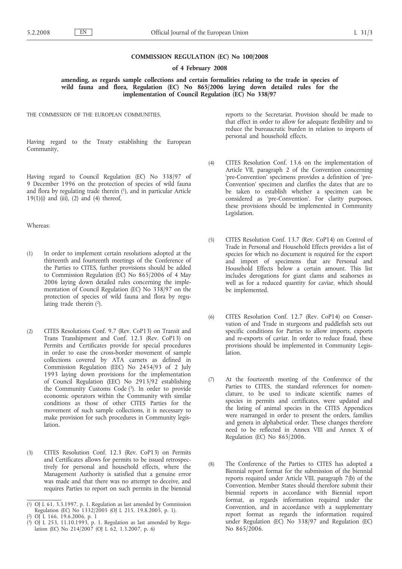### **COMMISSION REGULATION (EC) No 100/2008**

## **of 4 February 2008**

**amending, as regards sample collections and certain formalities relating to the trade in species of** wild fauna and flora, Regulation (EC) No 865/2006 laying down detailed rules for the **implementation of Council Regulation (EC) No 338/97**

THE COMMISSION OF THE EUROPEAN COMMUNITIES,

Having regard to the Treaty establishing the European Community,

Having regard to Council Regulation (EC) No 338/97 of 9 December 1996 on the protection of species of wild fauna and flora by regulating trade therein  $(1)$ , and in particular Article  $19(1)(i)$  and  $(iii)$ ,  $(2)$  and  $(4)$  thereof,

### Whereas:

- (1) In order to implement certain resolutions adopted at the thirteenth and fourteenth meetings of the Conference of the Parties to CITES, further provisions should be added to Commission Regulation (EC) No 865/2006 of 4 May 2006 laying down detailed rules concerning the implementation of Council Regulation (EC) No 338/97 on the protection of species of wild fauna and flora by regulating trade therein (2).
- (2) CITES Resolutions Conf. 9.7 (Rev. CoP13) on Transit and Trans Transhipment and Conf. 12.3 (Rev. CoP13) on Permits and Certificates provide for special procedures in order to ease the cross-border movement of sample collections covered by ATA carnets as defined in Commission Regulation (EEC) No 2454/93 of 2 July 1993 laying down provisions for the implementation of Council Regulation (EEC) No 2913/92 establishing the Community Customs Code (3). In order to provide economic operators within the Community with similar conditions as those of other CITES Parties for the movement of such sample collections, it is necessary to make provision for such procedures in Community legislation.
- (3) CITES Resolution Conf. 12.3 (Rev. CoP13) on Permits and Certificates allows for permits to be issued retrospectively for personal and household effects, where the Management Authority is satisfied that a genuine error was made and that there was no attempt to deceive, and requires Parties to report on such permits in the biennial

reports to the Secretariat. Provision should be made to that effect in order to allow for adequate flexibility and to reduce the bureaucratic burden in relation to imports of personal and household effects.

- (4) CITES Resolution Conf. 13.6 on the implementation of Article VII, paragraph 2 of the Convention concerning 'pre-Convention' specimens provides a definition of 'pre-Convention' specimen and clarifies the dates that are to be taken to establish whether a specimen can be considered as 'pre-Convention'. For clarity purposes, these provisions should be implemented in Community Legislation.
- (5) CITES Resolution Conf. 13.7 (Rev. CoP14) on Control of Trade in Personal and Household Effects provides a list of species for which no document is required for the export and import of specimens that are Personal and Household Effects below a certain amount. This list includes derogations for giant clams and seahorses as well as for a reduced quantity for caviar, which should be implemented.
- (6) CITES Resolution Conf. 12.7 (Rev. CoP14) on Conservation of and Trade in sturgeons and paddlefish sets out specific conditions for Parties to allow imports, exports and re-exports of caviar. In order to reduce fraud, these provisions should be implemented in Community Legislation.
- (7) At the fourteenth meeting of the Conference of the Parties to CITES, the standard references for nomenclature, to be used to indicate scientific names of species in permits and certificates, were updated and the listing of animal species in the CITES Appendices were rearranged in order to present the orders, families and genera in alphabetical order. These changes therefore need to be reflected in Annex VIII and Annex X of Regulation (EC) No 865/2006.
- (8) The Conference of the Parties to CITES has adopted a Biennial report format for the submission of the biennial reports required under Article VIII, paragraph 7(b) of the Convention. Member States should therefore submit their biennial reports in accordance with Biennial report format, as regards information required under the Convention, and in accordance with a supplementary report format as regards the information required under Regulation (EC) No 338/97 and Regulation (EC) No 865/2006.

<sup>(</sup> 1) OJ L 61, 3.3.1997, p. 1. Regulation as last amended by Commission Regulation (EC) No 1332/2005 (OJ L 215, 19.8.2005, p. 1).

<sup>(</sup> 2) OJ L 166, 19.6.2006, p. 1

 $(3)$ 3) OJ L 253, 11.10.1993, p. 1. Regulation as last amended by Regulation (EC) No 214/2007 (OJ L 62, 1.3.2007, p. 6)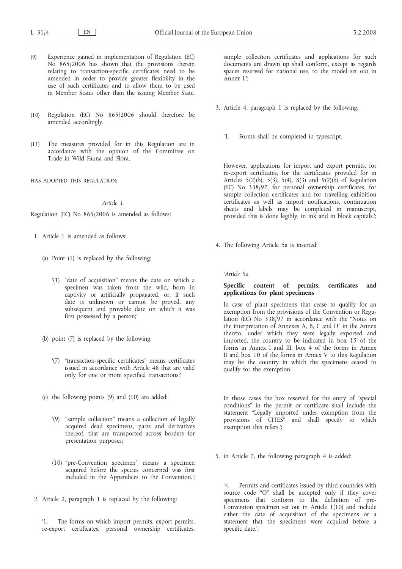- (9) Experience gained in implementation of Regulation (EC) No 865/2006 has shown that the provisions therein relating to transaction-specific certificates need to be amended in order to provide greater flexibility in the use of such certificates and to allow them to be used in Member States other than the issuing Member State.
- (10) Regulation (EC) No 865/2006 should therefore be amended accordingly.
- (11) The measures provided for in this Regulation are in accordance with the opinion of the Committee on Trade in Wild Fauna and Flora,

HAS ADOPTED THIS REGULATION:

### *Article 1*

Regulation (EC) No 865/2006 is amended as follows:

- 1. Article 1 is amended as follows:
	- (a) Point (1) is replaced by the following:
		- '(1) "date of acquisition" means the date on which a specimen was taken from the wild, born in captivity or artificially propagated, or, if such date is unknown or cannot be proved, any subsequent and provable date on which it was first possessed by a person;'
	- (b) point (7) is replaced by the following:
		- '(7) "transaction-specific certificates" means certificates issued in accordance with Article 48 that are valid only for one or more specified transactions;'
	- (c) the following points (9) and (10) are added:
		- '(9) "sample collection" means a collection of legally acquired dead specimens, parts and derivatives thereof, that are transported across borders for presentation purposes;
		- (10) "pre-Convention specimen" means a specimen acquired before the species concerned was first included in the Appendices to the Convention.';
- 2. Article 2, paragraph 1 is replaced by the following:

The forms on which import permits, export permits, re-export certificates, personal ownership certificates,

sample collection certificates and applications for such documents are drawn up shall conform, except as regards spaces reserved for national use, to the model set out in  $\mathop{\rm Annex}\nolimits_{\mathop{\rm I}\nolimits}$   $\mathop{\rm I}\nolimits$   $\cdot$ 

- 3. Article 4, paragraph 1 is replaced by the following:
	- '1. Forms shall be completed in typescript.

However, applications for import and export permits, for re-export certificates, for the certificates provided for in Articles 5(2)(b), 5(3), 5(4), 8(3) and 9(2)(b) of Regulation (EC) No 338/97, for personal ownership certificates, for sample collection certificates and for travelling exhibition certificates as well as import notifications, continuation sheets and labels may be completed in manuscript, provided this is done legibly, in ink and in block capitals.';

4. The following Article 5a is inserted:

*'Article 5a*

### **Specific content of permits, certificates and applications for plant specimens**

In case of plant specimens that cease to qualify for an exemption from the provisions of the Convention or Regulation (EC) No 338/97 in accordance with the "Notes on the interpretation of Annexes A, B, C and D" in the Annex thereto, under which they were legally exported and imported, the country to be indicated in box 15 of the forms in Annex I and III, box 4 of the forms in Annex II and box 10 of the forms in Annex V to this Regulation may be the country in which the specimens ceased to qualify for the exemption.

In those cases the box reserved for the entry of "special conditions" in the permit or certificate shall include the statement "Legally imported under exemption from the provisions of CITES" and shall specify to which exemption this refers.';

5. in Article 7, the following paragraph 4 is added:

'4. Permits and certificates issued by third countries with source code "O" shall be accepted only if they cover specimens that conform to the definition of pre-Convention specimen set out in Article 1(10) and include either the date of acquisition of the specimens or a statement that the specimens were acquired before a specific date.';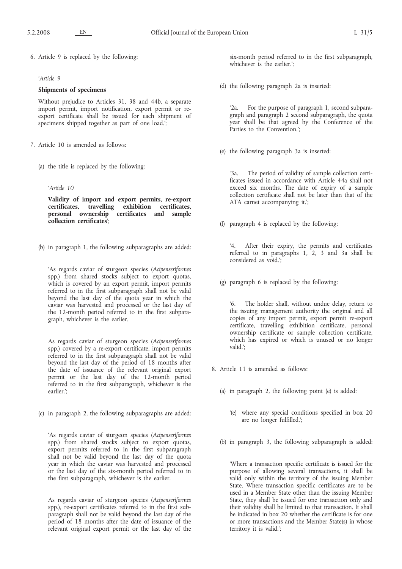6. Article 9 is replaced by the following:

# *'Article 9*

#### **Shipments of specimens**

Without prejudice to Articles 31, 38 and 44b, a separate import permit, import notification, export permit or reexport certificate shall be issued for each shipment of specimens shipped together as part of one load.<sup>'</sup>;

- 7. Article 10 is amended as follows:
	- (a) the title is replaced by the following:
		- *'Article 10*

**Validity of import and export permits, re-export**  $ext{exhibition}$  certificates, **personal ownership certificates and sample collection certificates**';

(b) in paragraph 1, the following subparagraphs are added:

'As regards caviar of sturgeon species (*Acipenseriformes* spp.) from shared stocks subject to export quotas, which is covered by an export permit, import permits referred to in the first subparagraph shall not be valid beyond the last day of the quota year in which the caviar was harvested and processed or the last day of the 12-month period referred to in the first subparagraph, whichever is the earlier.

As regards caviar of sturgeon species (*Acipenseriformes* spp.) covered by a re-export certificate, import permits referred to in the first subparagraph shall not be valid beyond the last day of the period of 18 months after the date of issuance of the relevant original export permit or the last day of the 12-month period referred to in the first subparagraph, whichever is the earlier.';

(c) in paragraph 2, the following subparagraphs are added:

'As regards caviar of sturgeon species (*Acipenseriformes* spp.) from shared stocks subject to export quotas, export permits referred to in the first subparagraph shall not be valid beyond the last day of the quota year in which the caviar was harvested and processed or the last day of the six-month period referred to in the first subparagraph, whichever is the earlier.

As regards caviar of sturgeon species (*Acipenseriformes* spp.), re-export certificates referred to in the first subparagraph shall not be valid beyond the last day of the period of 18 months after the date of issuance of the relevant original export permit or the last day of the six-month period referred to in the first subparagraph, whichever is the earlier.';

(d) the following paragraph 2a is inserted:

'2a. For the purpose of paragraph 1, second subparagraph and paragraph 2 second subparagraph, the quota year shall be that agreed by the Conference of the Parties to the Convention.';

(e) the following paragraph 3a is inserted:

'3a. The period of validity of sample collection certificates issued in accordance with Article 44a shall not exceed six months. The date of expiry of a sample collection certificate shall not be later than that of the ATA carnet accompanying it.';

(f) paragraph 4 is replaced by the following:

After their expiry, the permits and certificates referred to in paragraphs 1, 2, 3 and 3a shall be considered as void.';

(g) paragraph 6 is replaced by the following:

'6. The holder shall, without undue delay, return to the issuing management authority the original and all copies of any import permit, export permit re-export certificate, travelling exhibition certificate, personal ownership certificate or sample collection certificate, which has expired or which is unused or no longer valid.';

- 8. Article 11 is amended as follows:
	- (a) in paragraph 2, the following point (e) is added:
		- '(e) where any special conditions specified in box 20 are no longer fulfilled.';
	- (b) in paragraph 3, the following subparagraph is added:

'Where a transaction specific certificate is issued for the purpose of allowing several transactions, it shall be valid only within the territory of the issuing Member State. Where transaction specific certificates are to be used in a Member State other than the issuing Member State, they shall be issued for one transaction only and their validity shall be limited to that transaction. It shall be indicated in box 20 whether the certificate is for one or more transactions and the Member State(s) in whose territory it is valid.';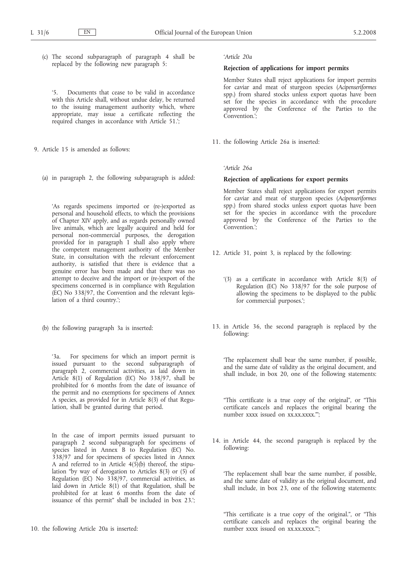(c) The second subparagraph of paragraph 4 shall be replaced by the following new paragraph 5:

'5. Documents that cease to be valid in accordance with this Article shall, without undue delay, be returned to the issuing management authority which, where appropriate, may issue a certificate reflecting the required changes in accordance with Article 51.';

- 9. Article 15 is amended as follows:
	- (a) in paragraph 2, the following subparagraph is added:

'As regards specimens imported or (re-)exported as personal and household effects, to which the provisions of Chapter XIV apply, and as regards personally owned live animals, which are legally acquired and held for personal non-commercial purposes, the derogation provided for in paragraph 1 shall also apply where the competent management authority of the Member State, in consultation with the relevant enforcement authority, is satisfied that there is evidence that a genuine error has been made and that there was no attempt to deceive and the import or (re-)export of the specimens concerned is in compliance with Regulation (EC) No 338/97, the Convention and the relevant legislation of a third country.';

(b) the following paragraph 3a is inserted:

'3a. For specimens for which an import permit is issued pursuant to the second subparagraph of paragraph 2, commercial activities, as laid down in Article 8(1) of Regulation (EC) No 338/97, shall be prohibited for 6 months from the date of issuance of the permit and no exemptions for specimens of Annex A species, as provided for in Article 8(3) of that Regulation, shall be granted during that period.

In the case of import permits issued pursuant to paragraph 2 second subparagraph for specimens of species listed in Annex B to Regulation (EC) No. 338/97 and for specimens of species listed in Annex A and referred to in Article 4(5)(b) thereof, the stipulation "by way of derogation to Articles 8(3) or (5) of Regulation (EC) No 338/97, commercial activities, as laid down in Article 8(1) of that Regulation, shall be prohibited for at least 6 months from the date of issuance of this permit" shall be included in box 23.';

10. the following Article 20a is inserted:

#### *'Article 20a*

### **Rejection of applications for import permits**

Member States shall reject applications for import permits for caviar and meat of sturgeon species (*Acipenseriformes* spp.) from shared stocks unless export quotas have been set for the species in accordance with the procedure approved by the Conference of the Parties to the Convention.<sup>'</sup>:

11. the following Article 26a is inserted:

### *'Article 26a*

### **Rejection of applications for export permits**

Member States shall reject applications for export permits for caviar and meat of sturgeon species (*Acipenseriformes* spp.) from shared stocks unless export quotas have been set for the species in accordance with the procedure approved by the Conference of the Parties to the Convention.';

- 12. Article 31, point 3, is replaced by the following:
	- '(3) as a certificate in accordance with Article 8(3) of Regulation (EC) No 338/97 for the sole purpose of allowing the specimens to be displayed to the public for commercial purposes.';
- 13. in Article 36, the second paragraph is replaced by the following:

'The replacement shall bear the same number, if possible, and the same date of validity as the original document, and shall include, in box 20, one of the following statements:

"This certificate is a true copy of the original", or "This certificate cancels and replaces the original bearing the number xxxx issued on xx.xx.xxxx."';

14. in Article 44, the second paragraph is replaced by the following:

'The replacement shall bear the same number, if possible, and the same date of validity as the original document, and shall include, in box 23, one of the following statements:

"This certificate is a true copy of the original.", or "This certificate cancels and replaces the original bearing the number xxxx issued on xx.xx.xxxx."';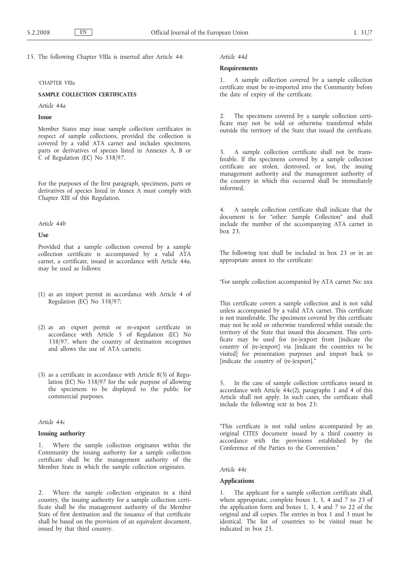15. The following Chapter VIIIa is inserted after Article 44:

### 'CHAPTER VIIIa

# **SAMPLE COLLECTION CERTIFICATES**

#### *Article 44a*

# **Issue**

Member States may issue sample collection certificates in respect of sample collections, provided the collection is covered by a valid ATA carnet and includes specimens, parts or derivatives of species listed in Annexes A, B or C of Regulation (EC) No 338/97.

For the purposes of the first paragraph, specimens, parts or derivatives of species listed in Annex A must comply with Chapter XIII of this Regulation.

#### *Article 44b*

### **Use**

Provided that a sample collection covered by a sample collection certificate is accompanied by a valid ATA carnet, a certificate, issued in accordance with Article 44a, may be used as follows:

- (1) as an import permit in accordance with Article 4 of Regulation (EC) No 338/97;
- (2) as an export permit or re-export certificate in accordance with Article 5 of Regulation (EC) No 338/97, where the country of destination recognises and allows the use of ATA carnets;
- (3) as a certificate in accordance with Article 8(3) of Regulation (EC) No 338/97 for the sole purpose of allowing the specimens to be displayed to the public for commercial purposes.

# *Article 44c*

### **Issuing authority**

1. Where the sample collection originates within the Community the issuing authority for a sample collection certificate shall be the management authority of the Member State in which the sample collection originates.

2. Where the sample collection originates in a third country, the issuing authority for a sample collection certificate shall be the management authority of the Member State of first destination and the issuance of that certificate shall be based on the provision of an equivalent document, issued by that third country.

#### *Article 44d*

#### **Requirements**

1. A sample collection covered by a sample collection certificate must be re-imported into the Community before the date of expiry of the certificate.

2. The specimens covered by a sample collection certificate may not be sold or otherwise transferred whilst outside the territory of the State that issued the certificate.

3. A sample collection certificate shall not be transferable. If the specimens covered by a sample collection certificate are stolen, destroyed, or lost, the issuing management authority and the management authority of the country in which this occurred shall be immediately informed.

4. A sample collection certificate shall indicate that the document is for "other: Sample Collection" and shall include the number of the accompanying ATA carnet in box 23.

The following text shall be included in box 23 or in an appropriate annex to the certificate:

"For sample collection accompanied by ATA carnet No: xxx

This certificate covers a sample collection and is not valid unless accompanied by a valid ATA carnet. This certificate is not transferable. The specimens covered by this certificate may not be sold or otherwise transferred whilst outside the territory of the State that issued this document. This certificate may be used for (re-)export from [indicate the country of (re-)export] via [indicate the countries to be visited] for presentation purposes and import back to [indicate the country of (re-)export]."

5. In the case of sample collection certificates issued in accordance with Article 44c(2), paragraphs 1 and 4 of this Article shall not apply. In such cases, the certificate shall include the following text in box 23:

"This certificate is not valid unless accompanied by an original CITES document issued by a third country in accordance with the provisions established by the Conference of the Parties to the Convention."

*Article 44e*

#### **Applications**

1. The applicant for a sample collection certificate shall, where appropriate, complete boxes 1, 3, 4 and 7 to 23 of the application form and boxes 1, 3, 4 and 7 to 22 of the original and all copies. The entries in box 1 and 3 must be identical. The list of countries to be visited must be indicated in box 23.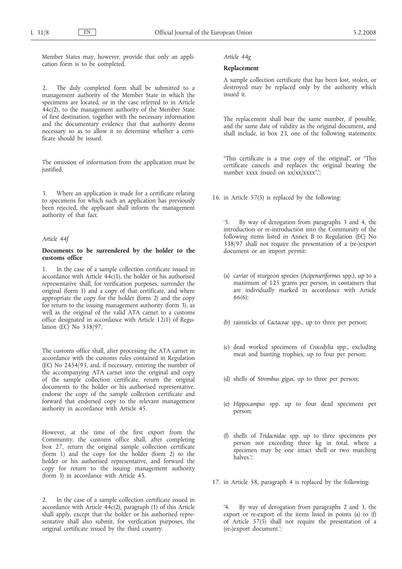Member States may, however, provide that only an application form is to be completed.

2. The duly completed form shall be submitted to a management authority of the Member State in which the specimens are located, or in the case referred to in Article 44c(2), to the management authority of the Member State of first destination, together with the necessary information and the documentary evidence that that authority deems necessary so as to allow it to determine whether a certificate should be issued.

The omission of information from the application must be justified.

3. Where an application is made for a certificate relating to specimens for which such an application has previously been rejected, the applicant shall inform the management authority of that fact.

### *Article 44f*

### **Documents to be surrendered by the holder to the customs office**

1. In the case of a sample collection certificate issued in accordance with Article  $44c(1)$ , the holder or his authorised representative shall, for verification purposes, surrender the original (form 1) and a copy of that certificate, and where appropriate the copy for the holder (form 2) and the copy for return to the issuing management authority (form 3), as well as the original of the valid ATA carnet to a customs office designated in accordance with Article 12(1) of Regulation (EC) No 338/97.

The customs office shall, after processing the ATA carnet in accordance with the customs rules contained in Regulation (EC) No 2454/93, and, if necessary, entering the number of the accompanying ATA carnet into the original and copy of the sample collection certificate, return the original documents to the holder or his authorised representative, endorse the copy of the sample collection certificate and forward that endorsed copy to the relevant management authority in accordance with Article 45.

However, at the time of the first export from the Community, the customs office shall, after completing box 27, return the original sample collection certificate (form 1) and the copy for the holder (form 2) to the holder or his authorised representative, and forward the copy for return to the issuing management authority (form 3) in accordance with Article 45.

2. In the case of a sample collection certificate issued in accordance with Article  $44c(2)$ , paragraph (1) of this Article shall apply, except that the holder or his authorised representative shall also submit, for verification purposes, the original certificate issued by the third country.

#### *Article 44g*

#### **Replacement**

A sample collection certificate that has been lost, stolen, or destroyed may be replaced only by the authority which issued it.

The replacement shall bear the same number, if possible, and the same date of validity as the original document, and shall include, in box 23, one of the following statements:

"This certificate is a true copy of the original", or "This certificate cancels and replaces the original bearing the number xxxx issued on xx/xx/xxxx".';

16. in Article 57(5) is replaced by the following:

'5. By way of derogation from paragraphs 3 and 4, the introduction or re-introduction into the Community of the following items listed in Annex B to Regulation (EC) No 338/97 shall not require the presentation of a (re-)export document or an import permit:

- (a) caviar of sturgeon species (*Acipenseriformes* spp.), up to a maximum of 125 grams per person, in containers that are individually marked in accordance with Article 66(6);
- (b) rainsticks of *Cactaceae* spp., up to three per person;
- (c) dead worked specimens of *Crocodylia* spp., excluding meat and hunting trophies, up to four per person;
- (d) shells of *Strombus gigas*, up to three per person;
- (e) *Hippocampus* spp. up to four dead specimens per person;
- (f) shells of *Tridacnidae* spp. up to three specimens per person not exceeding three kg in total, where a specimen may be one intact shell or two matching halves.';

17. in Article 58, paragraph 4 is replaced by the following:

'4. By way of derogation from paragraphs 2 and 3, the export or re-export of the items listed in points (a) to (f) of Article  $57(5)$  shall not require the presentation of a (re-)export document.';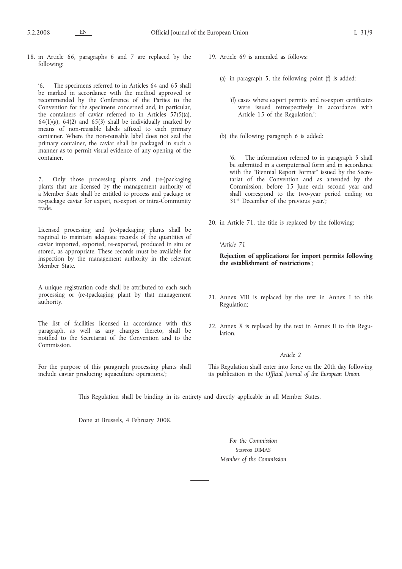18. in Article 66, paragraphs 6 and 7 are replaced by the following:

'6. The specimens referred to in Articles 64 and 65 shall be marked in accordance with the method approved or recommended by the Conference of the Parties to the Convention for the specimens concerned and, in particular, the containers of caviar referred to in Articles 57(5)(a), 64(1)(g), 64(2) and 65(3) shall be individually marked by means of non-reusable labels affixed to each primary container. Where the non-reusable label does not seal the primary container, the caviar shall be packaged in such a manner as to permit visual evidence of any opening of the container.

7. Only those processing plants and (re-)packaging plants that are licensed by the management authority of a Member State shall be entitled to process and package or re-package caviar for export, re-export or intra-Community trade.

Licensed processing and (re-)packaging plants shall be required to maintain adequate records of the quantities of caviar imported, exported, re-exported, produced in situ or stored, as appropriate. These records must be available for inspection by the management authority in the relevant Member State.

A unique registration code shall be attributed to each such processing or (re-)packaging plant by that management authority.

The list of facilities licensed in accordance with this paragraph, as well as any changes thereto, shall be notified to the Secretariat of the Convention and to the Commission.

For the purpose of this paragraph processing plants shall include caviar producing aquaculture operations.';

- 19. Article 69 is amended as follows:
	- (a) in paragraph 5, the following point (f) is added:
		- '(f) cases where export permits and re-export certificates were issued retrospectively in accordance with Article 15 of the Regulation.';
	- (b) the following paragraph 6 is added:

'6. The information referred to in paragraph 5 shall be submitted in a computerised form and in accordance with the "Biennial Report Format" issued by the Secretariat of the Convention and as amended by the Commission, before 15 June each second year and shall correspond to the two-year period ending on 31st December of the previous year.';

20. in Article 71, the title is replaced by the following:

### *'Article 71*

**Rejection of applications for import permits following the establishment of restrictions**';

- 21. Annex VIII is replaced by the text in Annex I to this Regulation;
- 22. Annex X is replaced by the text in Annex II to this Regulation.

# *Article 2*

This Regulation shall enter into force on the 20th day following its publication in the *Official Journal of the European Union*.

This Regulation shall be binding in its entirety and directly applicable in all Member States.

Done at Brussels, 4 February 2008.

*For the Commission* Stavros DIMAS *Member of the Commission*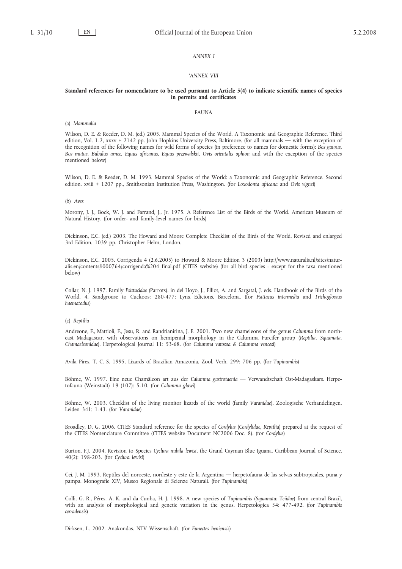#### *ANNEX I*

#### *'ANNEX VIII*

### **Standard references for nomenclature to be used pursuant to Article 5(4) to indicate scientific names of species in permits and certificates**

### FAUNA

(a) *Mammalia*

Wilson, D. E. & Reeder, D. M. (ed.) 2005. Mammal Species of the World. A Taxonomic and Geographic Reference. Third edition, Vol. 1-2, xxxv + 2142 pp. John Hopkins University Press, Baltimore. (for all mammals — with the exception of the recognition of the following names for wild forms of species (in preference to names for domestic forms): *Bos gaurus, Bos mutus, Bubalus arnee, Equus africanus, Equus przewalskii, Ovis orientalis ophion* and with the exception of the species mentioned below)

Wilson, D. E. & Reeder, D. M. 1993. Mammal Species of the World: a Taxonomic and Geographic Reference. Second edition. xviii + 1207 pp., Smithsonian Institution Press, Washington. (for *Loxodonta africana* and *Ovis vignei*)

#### (b) *Aves*

Morony, J. J., Bock, W. J. and Farrand, J., Jr. 1975. A Reference List of the Birds of the World. American Museum of Natural History. (for order- and family-level names for birds)

Dickinson, E.C. (ed.) 2003. The Howard and Moore Complete Checklist of the Birds of the World. Revised and enlarged 3rd Edition. 1039 pp. Christopher Helm, London.

Dickinson, E.C. 2005. Corrigenda 4 (2.6.2005) to Howard & Moore Edition 3 (2003) http://www.naturalis.nl/sites/naturalis.en/contents/i000764/corrigenda%204\_final.pdf (CITES website) (for all bird species - except for the taxa mentioned below)

Collar, N. J. 1997. Family *Psittacidae* (Parrots). in del Hoyo, J., Elliot, A. and Sargatal, J. eds. Handbook of the Birds of the World. 4. Sandgrouse to Cuckoos: 280-477: Lynx Edicions, Barcelona. (for *Psittacus intermedia* and *Trichoglossus haematodus*)

### (c) *Reptilia*

Andreone, F., Mattioli, F., Jesu, R. and Randrianirina, J. E. 2001. Two new chameleons of the genus *Calumma* from northeast Madagascar, with observations on hemipenial morphology in the Calumma Furcifer group (*Reptilia, Squamata, Chamaeleonidae*). Herpetological Journal 11: 53-68. (for *Calumma vatosoa & Calumma vencesi*)

Avila Pires, T. C. S. 1995. Lizards of Brazilian Amazonia. Zool. Verh. 299: 706 pp. (for *Tupinambis*)

Böhme, W. 1997. Eine neue Chamäleon art aus der *Calumma gastrotaenia* — Verwandtschaft Ost-Madagaskars. Herpetofauna (Weinstadt) 19 (107): 5-10. (for *Calumma glawi*)

Böhme, W. 2003. Checklist of the living monitor lizards of the world (family *Varanidae*). Zoologische Verhandelingen. Leiden 341: 1-43. (for *Varanidae*)

Broadley, D. G. 2006. CITES Standard reference for the species of *Cordylus* (*Cordylidae, Reptilia*) prepared at the request of the CITES Nomenclature Committee (CITES website Document NC2006 Doc. 8). (for *Cordylus*)

Burton, F.J. 2004. Revision to Species *Cyclura nubila lewisi*, the Grand Cayman Blue Iguana. Caribbean Journal of Science, 40(2): 198-203. (for *Cyclura lewisi*)

Cei, J. M. 1993. Reptiles del noroeste, nordeste y este de la Argentina — herpetofauna de las selvas subtropicales, puna y pampa. Monografie XIV, Museo Regionale di Scienze Naturali. (for *Tupinambis*)

Colli, G. R., Péres, A. K. and da Cunha, H. J. 1998. A new species of *Tupinambis* (*Squamata: Teiidae*) from central Brazil, with an analysis of morphological and genetic variation in the genus. Herpetologica 54: 477-492. (for *Tupinambis cerradensis*)

Dirksen, L. 2002. Anakondas. NTV Wissenschaft. (for *Eunectes beniensis*)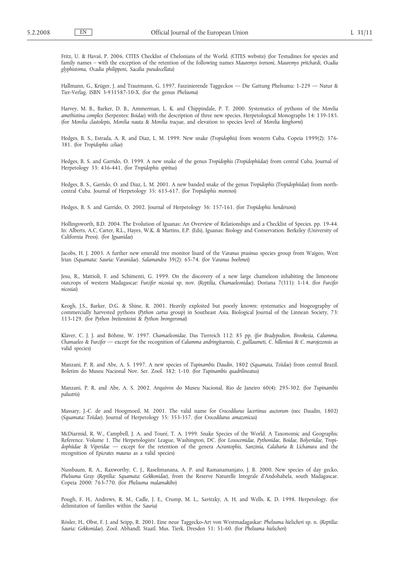Fritz, U. & Hava*š*, P. 2006. CITES Checklist of Chelonians of the World. (CITES website) (for Testudines for species and family names – with the exception of the retention of the following names *Mauremys iversoni, Mauremys pritchardi, Ocadia glyphistoma, Ocadia philippeni, Sacalia pseudocellata*)

Hallmann, G., Krüger, J. and Trautmann, G. 1997. Faszinierende Taggeckos — Die Gattung Phelsuma: 1-229 — Natur & Tier-Verlag. ISBN 3-931587-10-X. (for the genus *Phelsuma*)

Harvey, M. B., Barker, D. B., Ammerman, L. K. and Chippindale, P. T. 2000. Systematics of pythons of the *Morelia amethistina complex* (Serpentes: *Boidae*) with the description of three new species. Herpetological Monographs 14: 139-185. (for *Morelia clastolepis, Morelia nauta* & *Morelia tracyae*, and elevation to species level of *Morelia kinghorni*)

Hedges, B. S., Estrada, A. R. and Diaz, L. M. 1999. New snake (*Tropidophis*) from western Cuba. Copeia 1999(2): 376- 381. (for *Tropidophis celiae*)

Hedges, B. S. and Garrido, O. 1999. A new snake of the genus *Tropidophis (Tropidophiidae*) from central Cuba. Journal of Herpetology 33: 436-441. (for *Tropidophis spiritus*)

Hedges, B. S., Garrido, O. and Diaz, L. M. 2001. A new banded snake of the genus *Tropidophis* (*Tropidophiidae*) from northcentral Cuba. Journal of Herpetology 35: 615-617. (for *Tropidophis morenoi*)

Hedges, B. S. and Garrido, O. 2002. Journal of Herpetology 36: 157-161. (for *Tropidophis hendersoni*)

Hollingsworth, B.D. 2004. The Evolution of Iguanas: An Overview of Relationships and a Checklist of Species. pp. 19-44. In: Alberts, A.C, Carter, R.L., Hayes, W.K. & Martins, E.P. (Eds), Iguanas: Biology and Conservation. Berkeley (University of California Press). (for *Iguanidae*)

Jacobs, H. J. 2003. A further new emerald tree monitor lisard of the *Varanus prasinus* species group from Waigeo, West Irian (*Squamata: Sauria: Varanidae*). *Salamandra* 39(2): 65-74. (for *Varanus boehmei*)

Jesu, R., Mattioli, F. and Schimenti, G. 1999. On the discovery of a new large chameleon inhabiting the limestone outcrops of western Madagascar: *Furcifer nicosiai* sp. nov. (*Reptilia, Chamaeleonidae*). Doriana 7(311): 1-14. (for *Furcifer nicosiai*)

Keogh, J.S., Barker, D.G. & Shine, R. 2001. Heavily exploited but poorly known: systematics and biogeography of commercially harvested pythons (*Python curtus* group) in Southeast Asia. Biological Journal of the Linnean Society, 73: 113-129. (for *Python breitensteini* & *Python brongersmai*)

Klaver, C. J. J. and Böhme, W. 1997. *Chamaeleonidae*. Das Tierreich 112: 85 pp. (*for Bradypodion, Brookesia, Calumma, Chamaeleo* & *Furcifer* — except for the recognition of *Calumma andringitaensis*, *C. guillaumeti, C. hilleniusi* & *C. marojezensis* as valid species)

Manzani, P. R. and Abe, A. S. 1997. A new species of *Tupinambis Daudin*, 1802 (*Squamata, Teiidae*) from central Brazil. Boletim do Museu Nacional Nov. Ser. Zool. 382: 1-10. (for *Tupinambis quadrilineatus*)

Manzani, P. R. and Abe, A. S. 2002. Arquivos do Museu Nacional, Rio de Janeiro 60(4): 295-302. (for *Tupinambis palustris*)

Massary, J.-C. de and Hoogmoed, M. 2001. The valid name for *Crocodilurus lacertinus auctorum* (nec Daudin, 1802) (*Squamata: Teiidae*). Journal of Herpetology 35: 353-357. (for *Crocodilurus amazonicus*)

McDiarmid, R. W., Campbell, J. A. and Touré, T. A. 1999. Snake Species of the World. A Taxonomic and Geographic Reference. Volume 1. The Herpetologists' League, Washington, DC. (for *Loxocemidae, Pythonidae, Boidae, Bolyeriidae, Tropidophiidae* & *Viperidae* — except for the retention of the genera *Acrantophis, Sanzinia, Calabaria* & *Lichanura* and the recognition of *Epicrates maurus* as a valid species)

Nussbaum, R. A., Raxworthy, C. J., Raselimanana, A. P. and Ramanamanjato, J. B. 2000. New species of day gecko, *Phelsuma* Gray (*Reptilia: Squamata: Gekkonidae*), from the Reserve Naturelle Integrale d'Andohahela, south Madagascar. Copeia 2000: 763-770. (for *Phelsuma malamakibo*)

Pough, F. H., Andrews, R. M., Cadle, J. E., Crump, M. L., Savitzky, A. H. and Wells, K. D. 1998. Herpetology. (for delimitation of families within the *Sauria*)

Rösler, H., Obst, F. J. and Seipp, R. 2001. Eine neue Taggecko-Art von Westmadagaskar: *Phelsuma hielscheri* sp. n. (*Reptilia: Sauria: Gekkonidae*). Zool. Abhandl. Staatl. Mus. Tierk. Dresden 51: 51-60. (for *Phelsuma hielscheri*)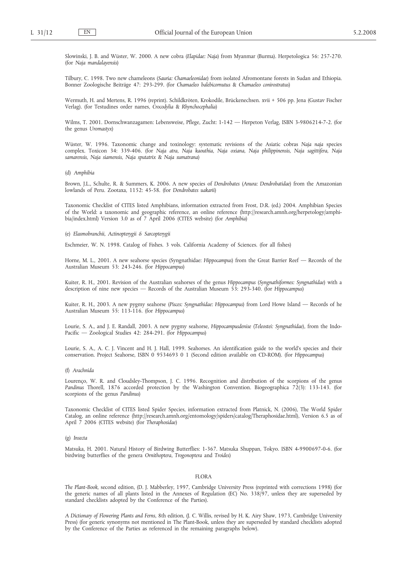Slowinski, J. B. and Wüster, W. 2000. A new cobra (*Elapidae: Naja*) from Myanmar (Burma). Herpetologica 56: 257-270. (for *Naja mandalayensis*)

Tilbury, C. 1998. Two new chameleons (*Sauria: Chamaeleonidae*) from isolated Afromontane forests in Sudan and Ethiopia. Bonner Zoologische Beiträge 47: 293-299. (for *Chamaeleo balebicornutus* & *Chamaeleo conirostratus*)

Wermuth, H. and Mertens, R. 1996 (reprint). Schildkröten, Krokodile, Brückenechsen. xvii + 506 pp. Jena (Gustav Fischer Verlag). (for Testudines order names, *Crocodylia* & *Rhynchocephalia*)

Wilms, T. 2001. Dornschwanzagamen: Lebensweise, Pflege, Zucht: 1-142 — Herpeton Verlag, ISBN 3-9806214-7-2. (for the genus *Uromastyx*)

Wüster, W. 1996. Taxonomic change and toxinology: systematic revisions of the Asiatic cobras *Naja naja* species complex. Toxicon 34: 339-406. (for *Naja atra, Naja kaouthia, Naja oxiana, Naja philippinensis, Naja sagittifera, Naja samarensis, Naja siamensis, Naja sputatrix* & *Naja sumatrana*)

(d) *Amphibia*

Brown, J.L., Schulte, R. & Summers, K. 2006. A new species of *Dendrobates* (*Anura: Dendrobatidae*) from the Amazonian lowlands of Peru. Zootaxa, 1152: 45-58. (for *Dendrobates uakarii*)

Taxonomic Checklist of CITES listed Amphibians, information extracted from Frost, D.R. (ed.) 2004. Amphibian Species of the World: a taxonomic and geographic reference, an online reference (http://research.amnh.org/herpetology/amphibia/index.html) Version 3.0 as of 7 April 2006 (CITES website) (for *Amphibia*)

(e) *Elasmobranchii, Actinopterygii & Sarcopterygii*

Eschmeier, W. N. 1998. Catalog of Fishes. 3 vols. California Academy of Sciences. (for all fishes)

Horne, M. L., 2001. A new seahorse species (Syngnathidae: *Hippocampus*) from the Great Barrier Reef — Records of the Australian Museum 53: 243-246. (for *Hippocampus*)

Kuiter, R. H., 2001. Revision of the Australian seahorses of the genus *Hippocampus* (*Syngnathiformes: Syngnathidae*) with a description of nine new species — Records of the Australian Museum 53: 293-340. (for *Hippocampus*)

Kuiter, R. H., 2003. A new pygmy seahorse (*Pisces: Syngnathidae: Hippocampus*) from Lord Howe Island — Records of he Australian Museum 55: 113-116. (for *Hippocampus*)

Lourie, S. A., and J. E. Randall, 2003. A new pygmy seahorse, *Hippocampusdenise* (*Teleostei: Syngnathidae*), from the Indo-Pacific — Zoological Studies 42: 284-291. (for *Hippocampus*)

Lourie, S. A., A. C. J. Vincent and H. J. Hall, 1999. Seahorses. An identification guide to the world's species and their conservation. Project Seahorse, ISBN 0 9534693 0 1 (Second edition available on CD-ROM). (for *Hippocampus*)

#### (f) *Arachnida*

Lourenço, W. R. and Cloudsley-Thompson, J. C. 1996. Recognition and distribution of the scorpions of the genus *Pandinus* Thorell, 1876 accorded protection by the Washington Convention. Biogeographica 72(3): 133-143. (for scorpions of the genus *Pandinus*)

Taxonomic Checklist of CITES listed Spider Species, information extracted from Platnick, N. (2006), The World Spider Catalog, an online reference (http://research.amnh.org/entomology/spiders/catalog/Theraphosidae.html), Version 6.5 as of April 7 2006 (CITES website) (for *Theraphosidae*)

#### (g) *Insecta*

Matsuka, H. 2001. Natural History of Birdwing Butterflies: 1-367. Matsuka Shuppan, Tokyo. ISBN 4-9900697-0-6. (for birdwing butterflies of the genera *Ornithoptera*, *Trogonoptera* and *Troides*)

### FLORA

*The Plant-Book*, second edition, (D. J. Mabberley, 1997, Cambridge University Press (reprinted with corrections 1998) (for the generic names of all plants listed in the Annexes of Regulation (EC) No. 338/97, unless they are superseded by standard checklists adopted by the Conference of the Parties).

*A Dictionary of Flowering Plants and Ferns*, 8th edition, (J. C. Willis, revised by H. K. Airy Shaw, 1973, Cambridge University Press) (for generic synonyms not mentioned in The Plant-Book, unless they are superseded by standard checklists adopted by the Conference of the Parties as referenced in the remaining paragraphs below).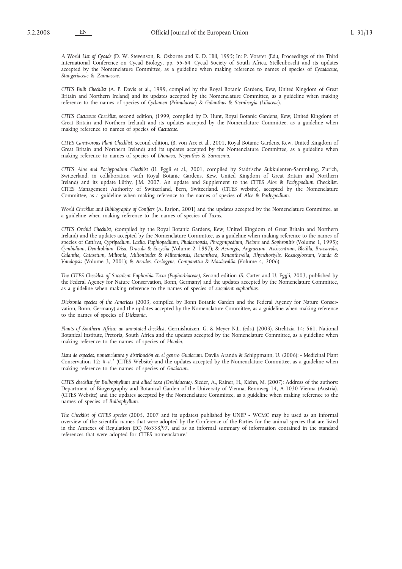*A World List of Cycads* (D. W. Stevenson, R. Osborne and K. D. Hill, 1995; In: P. Vorster (Ed.), Proceedings of the Third International Conference on Cycad Biology, pp. 55-64, Cycad Society of South Africa, Stellenbosch) and its updates accepted by the Nomenclature Committee, as a guideline when making reference to names of species of *Cycadaceae*, *Stangeriaceae* & *Zamiaceae*.

*CITES Bulb Checklist* (A. P. Davis et al., 1999, compiled by the Royal Botanic Gardens, Kew, United Kingdom of Great Britain and Northern Ireland) and its updates accepted by the Nomenclature Committee, as a guideline when making reference to the names of species of *Cyclamen* (*Primulaceae*) & *Galanthus* & *Sternbergia* (*Liliaceae*).

*CITES Cactaceae Checklist*, second edition, (1999, compiled by D. Hunt, Royal Botanic Gardens, Kew, United Kingdom of Great Britain and Northern Ireland) and its updates accepted by the Nomenclature Committee, as a guideline when making reference to names of species of *Cactaceae*.

*CITES Carnivorous Plant Checklist*, second edition, (B. von Arx et al., 2001, Royal Botanic Gardens, Kew, United Kingdom of Great Britain and Northern Ireland) and its updates accepted by the Nomenclature Committee, as a guideline when making reference to names of species of *Dionaea, Nepenthes* & *Sarracenia*.

*CITES Aloe and Pachypodium Checklist* (U. Eggli et al., 2001, compiled by Städtische Sukkulenten-Sammlung, Zurich, Switzerland, in collaboration with Royal Botanic Gardens, Kew, United Kingdom of Great Britain and Northern Ireland) and its update Lüthy, J.M. 2007. An update and Supplement to the CITES *Aloe* & *Pachypodium* Checklist. CITES Management Authority of Switzerland, Bern, Switzerland. (CITES website), accepted by the Nomenclature Committee, as a guideline when making reference to the names of species of *Aloe* & *Pachypodium*.

*World Checklist and Bibliography of Conifers* (A. Farjon, 2001) and the updates accepted by the Nomenclature Committee, as a guideline when making reference to the names of species of *Taxus*.

*CITES Orchid Checklist*, (compiled by the Royal Botanic Gardens, Kew, United Kingdom of Great Britain and Northern Ireland) and the updates accepted by the Nomenclature Committee, as a guideline when making reference to the names of species of *Cattleya, Cypripedium, Laelia, Paphiopedilum, Phalaenopsis, Phragmipedium, Pleione* and *Sophronitis* (Volume 1, 1995); *Cymbidium, Dendrobium, Disa, Dracula* & *Encyclia* (Volume 2, 1997); & *Aerangis, Angraecum, Ascocentrum, Bletilla, Brassavola, Calanthe, Catasetum, Miltonia, Miltonioides* & *Miltoniopsis, Renanthera, Renantherella, Rhynchostylis, Rossioglossum, Vanda* & *Vandopsis* (Volume 3, 2001); & *Aerides, Coelogyne, Comparettia* & *Masdevallia* (Volume 4, 2006).

*The CITES Checklist of Succulent Euphorbia Taxa (Euphorbiaceae)*, Second edition (S. Carter and U. Eggli, 2003, published by the Federal Agency for Nature Conservation, Bonn, Germany) and the updates accepted by the Nomenclature Committee, as a guideline when making reference to the names of species of *succulent euphorbias*.

*Dicksonia species of the Americas* (2003, compiled by Bonn Botanic Garden and the Federal Agency for Nature Conservation, Bonn, Germany) and the updates accepted by the Nomenclature Committee, as a guideline when making reference to the names of species of *Dicksonia*.

*Plants of Southern Africa: an annotated checklist*. Germishuizen, G. & Meyer N.L. (eds.) (2003). Strelitzia 14: 561. National Botanical Institute, Pretoria, South Africa and the updates accepted by the Nomenclature Committee, as a guideline when making reference to the names of species of *Hoodia*.

*Lista de especies, nomenclatura y distribución en el genero Guaiacum*. Davila Aranda & Schippmann, U. (2006): - Medicinal Plant Conservation 12: #-#.′ (CITES Website) and the updates accepted by the Nomenclature Committee, as a guideline when making reference to the names of species of *Guaiacum*.

*CITES checklist for Bulbophyllum and allied taxa (Orchidaceae)*. Sieder, A., Rainer, H., Kiehn, M. (2007): Address of the authors: Department of Biogeography and Botanical Garden of the University of Vienna; Rennweg 14, A-1030 Vienna (Austria). (CITES Website) and the updates accepted by the Nomenclature Committee, as a guideline when making reference to the names of species of *Bulbophyllum*.

*The Checklist of CITES species* (2005, 2007 and its updates) published by UNEP - WCMC may be used as an informal overview of the scientific names that were adopted by the Conference of the Parties for the animal species that are listed in the Annexes of Regulation (EC) No338/97, and as an informal summary of information contained in the standard references that were adopted for CITES nomenclature.'